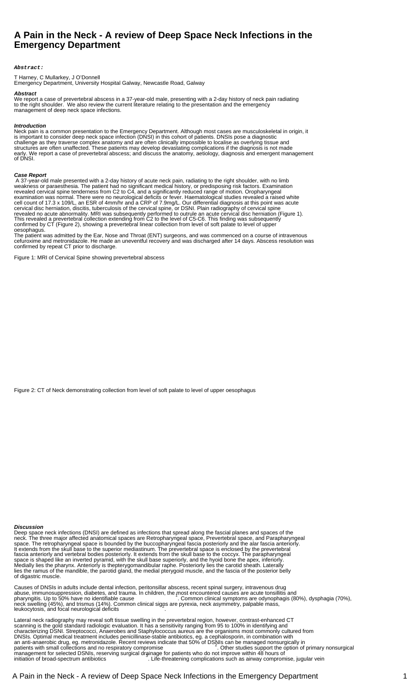# **A Pain in the Neck - A review of Deep Space Neck Infections in the Emergency Department**

#### **Abstract:**

T Harney, C Mullarkey, J O'Donnell

Emergency Department, University Hospital Galway, Newcastle Road, Galway

## **Abstract**

We report a case of prevertebral abscess in a 37-year-old male, presenting with a 2-day history of neck pain radiating to the right shoulder. We also review the current literature relating to the presentation and the emergency management of deep neck space infections.

## **Introduction**

Neck pain is a common presentation to the Emergency Department. Although most cases are musculoskeletal in origin, it is important to consider deep neck space infection (DNSI) in this cohort of patients. DNSIs pose a diagnostic challenge as they traverse complex anatomy and are often clinically impossible to localise as overlying tissue and structures are often unaffected. These patients may develop devastating complications if the diagnosis is not made early. We report a case of prevertebral abscess; and discuss the anatomy, aetiology, diagnosis and emergent management of DNSI.

#### **Case Report**

 A 37-year-old male presented with a 2-day history of acute neck pain, radiating to the right shoulder, with no limb weakness or paraesthesia. The patient had no significant medical history, or predisposing risk factors. Examination revealed cervical spine tenderness from C2 to C4, and a significantly reduced range of motion. Oropharyngeal examination was normal. There were no neurological deficits or fever. Haematological studies revealed a raised white cell count of 17.3 x 109/L, an ESR of 4mm/hr and a CRP of 7.9mg/L. Our differential diagnosis at this point was acute cervical disc herniation, discitis, tuberculosis of the cervical spine, or DSNI. Plain radiography of cervical spine revealed no acute abnormality. MRI was subsequently performed to outrule an acute cervical disc herniation (Figure 1). This revealed a prevertebral collection extending from C2 to the level of C5-C6. This finding was subsequently confirmed by CT (Figure 2), showing a prevertebral linear collection from level of soft palate to level of upper oesophagus.

The patient was admitted by the Ear, Nose and Throat (ENT) surgeons, and was commenced on a course of intravenous cefuroxime and metronidazole. He made an uneventful recovery and was discharged after 14 days. Abscess resolution was confirmed by repeat CT prior to discharge.

Figure 1: MRI of Cervical Spine showing prevertebral abscess

Figure 2: CT of Neck demonstrating collection from level of soft palate to level of upper oesophagus

## **Discussion**

Deep space neck infections (DNSI) are defined as infections that spread along the fascial planes and spaces of the neck. The three major affected anatomical spaces are Retropharyngeal space, Prevertebral space, and Parapharyngeal space. The retropharyngeal space is bounded by the buccopharyngeal fascia posteriorly and the alar fascia anteriorly. It extends from the skull base to the superior mediastinum. The prevertebral space is enclosed by the prevertebral fascia anteriorly and vertebral bodies posteriorly. It extends from the skull base to the coccyx. The parapharyngeal space is shaped like an inverted pyramid, with the skull base superiorly, and the hyoid bone the apex, inferiorly. Medially lies the pharynx. Anteriorly is thepterygomandibular raphe. Posteriorly lies the carotid sheath. Laterally lies the ramus of the mandible, the parotid gland, the medial pterygoid muscle, and the fascia of the posterior belly of digastric muscle.

Causes of DNSIs in adults include dental infection, peritonsillar abscess, recent spinal surgery, intravenous drug abuse, immunosuppression, diabetes, and trauma. In children, the most encountered causes are acute tonsillitis and<br>pharyngitis. Up to 50% have no identifiable cause in children, the mon clinical symptoms are odynophagis (8 neck swelling (45%), and trismus (14%). Common clinical signs are pyrexia, neck asymmetry, palpable mass,<br>leukocytosis, and focal neurological deficits

Lateral neck radiography may reveal soft tissue swelling in the prevertebral region, however, contrast-enhanced CT scanning is the gold standard radiologic evaluation. It has a sensitivity ranging from 95 to 100% in identifying and characterizing DSNI. Streptococci, Anaerobes and Staphylococcus aureus are the organisms most commonly cultured from DNSIs. Optimal medical treatment includes penicillinase-stable antibiotics, eg. a cephalosporin, in combination with an anti-anaerobic drug, eg. metronidazole. Recent reviews indicate that 50% of DSNIs can be managed nonsurgically in<br>patients with small collections and no respiratory compromise sall and bother studies support the option management for selected DSNIs, reserving surgical drainage for patients who do not improve within 48 hours of<br>initiation of broad-spectrum antibiotics interving complications such as airway compromise, jugular vein